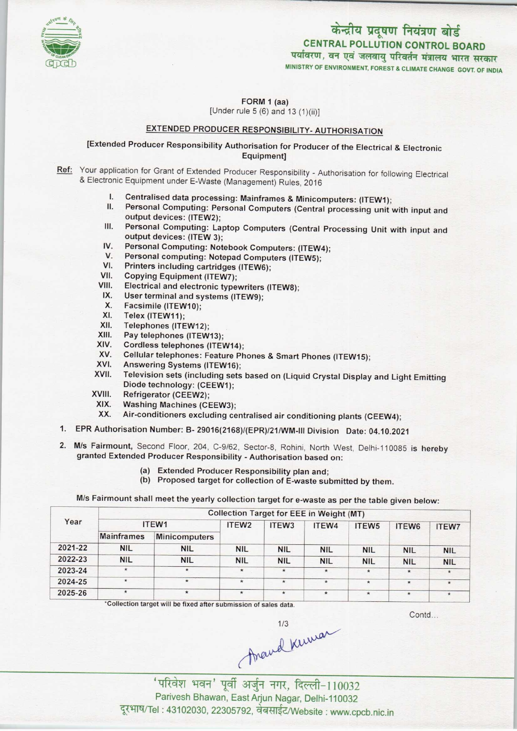

# केन्द्रीय प्रदूषण नियंत्रण बोर्ड CENTRAL POLLUTION CONTROL BOARD<br>पर्यावरण, वन एवं जलवायु परिवर्तन मंत्रालय भारत सरकार

MINISTRY OF ENVIRONMENT, FOREST S CLIMATE CHANGE GOVT. OF INDIA

FORM 1 (aa) [Under rule 5 (6) and 13 (1)(ii)]

### EXTENDED PRODUCER RESPONSIBILITY- AUTHORISATION

[Extended Producer Responsibility Authorisation for Producer ofthe Electrical & Electronic Equipment]

Ref: Your application for Grant of Extended Producer Responsibility - Authorisation for following Electrical & Electronic Equipment under E-Waste (Management) Rules, 2016

- I. Centralised data processing: Mainframes & Minicomputers: (ITEW1);<br>II. Personal Computing: Personal Computers (Central processing unit)
- Personal Computing: Personal Computers (Central processing unit with input and output devices: (ITEW2);
- III. Personal Computing: Laptop Computers (Central Processing Unit with input and output devices: (ITEW 3); III. Personal Computing: Laptop Computers (Central Picture)<br>
IV. Personal Computing: Notebook Computers: (ITEW4);<br>
V. Personal computing: Notebook Computers: (ITEW4);
- output devices: (ITEW 3);<br>V. Personal Computing: Notebook Computers: (ITEW<br>V. Personal computing: Notepad Computers (ITEW5);<br>// Printers including contriduce (ITEWS);
- V. Personal Computing: Notebook Computers: (ITEW-<br>V. Personal computing: Notepad Computers (ITEW5);<br>VI. Printers including cartridges (ITEW6);<br>VII. Copving Equipment (ITEW7):
- 
- VII. Copying Equipment (ITEW7);<br>VIII. Electrical and electronic type
- VI. Printers including cartridges (ITEW6);<br>VII. Copying Equipment (ITEW7);<br>VIII. Electrical and electronic typewriters (ITEW8);<br>IX. Hear terminal and eveterne (ITEW9); VII. Copying Equipment (ITEW7);<br>III. Electrical and electronic typewriters<br>IX. User terminal and systems (ITEW9);
- IX. User terminal and systems (ITEW9);<br>X. Facsimile (ITEW10);<br>XI. Telex (ITEW11):
- 
- XI. Telex (ITEW11);<br>XII. Telephones (ITE
- XII. Telephones (ITEW12);<br>XIII. Pav telephones (ITEW
- XIII. Pay telephones (ITEW13);<br>XIV. Cordless telephones (ITE)
- XIV. Cordless telephones (ITEW14);<br>XV. Cellular telephones: Feature Ph
- XIII. Pay telephones (ITEW13);<br>KIV. Cordless telephones (ITEW14);<br>XV. Cellular telephones: Feature Phones & Smart Phones (ITEW15); XIV. Cordiess telephones (ITEW14)<br>XV. Cellular telephones: Feature P<br>XVI. Answering Systems (ITEW16);<br>XVII. Television sets (including ort
- 
- XVI. Answering Systems (ITEW16);<br>XVII. Television sets (including sets based on (Liquid Crystal Display and Light Emitting AVII. Television sets (including se<br>Diode technology: (CEEW1);<br>XVII. Refrigerator (CEEW2);<br>XIX. Washing Machines (CEEW3)
- 
- XVIII. Refrigerator (CEEW2);<br>XIX. Washing Machines (CEEW3);<br>XX. Air-conditioners excluding ce
	- Air-conditioners excluding centralised air conditioning plants (CEEW4);
- 1.EPR Authorisation Number: B- 29016(2168)/(EPR)/21/WM-lll Division Date: 04.10.2021
- 2. M/s Fairmount, Second Floor, 204, C-9/62, Sector-8, Rohini, North West, Delhi-110085 is hereby granted Extended Producer Responsibility - Authorisation based on:
	- (a)Extended Producer Responsibility plan and;
	- (b) Proposed target for collection of E-waste submitted by them.

M/s Fairmount shall meet the yearly collection target for e-waste as per the table given below:

| ITEW1             |               | ITEW <sub>2</sub> | ITEW <sub>3</sub> | ITEW4      | ITEW <sub>5</sub> | ITEW <sub>6</sub>                               | <b>ITEW7</b> |
|-------------------|---------------|-------------------|-------------------|------------|-------------------|-------------------------------------------------|--------------|
| <b>Mainframes</b> | Minicomputers |                   |                   |            |                   |                                                 |              |
| <b>NIL</b>        | <b>NIL</b>    | <b>NIL</b>        | <b>NIL</b>        | <b>NIL</b> | <b>NIL</b>        | <b>NIL</b>                                      | <b>NIL</b>   |
| <b>NIL</b>        | <b>NIL</b>    | <b>NIL</b>        | <b>NIL</b>        | <b>NIL</b> | <b>NIL</b>        | <b>NIL</b>                                      | <b>NIL</b>   |
| $\star$           | $\star$       | $\star$           | $\star$           | $\star$    | $\star$           | $\star$                                         | $\star$      |
| $\star$           | $\star$       | $\star$           | $\star$           | $\star$    | $\star$           | $\star$                                         | $\star$      |
| $\star$           | $\star$       | $\star$           | $\star$           | $\star$    | $\star$           | $\star$                                         | $\star$      |
|                   |               |                   |                   |            |                   | <b>Collection Target for EEE in Weight (MT)</b> |              |

\*Collection target will be fixed after submission of sales data.

Contd...

Arand Kuman

'परिवेश भवन' पूर्वी अर्जुन नगर, दिल्ली-110032 Parivesh Bhawan, EastArjun Nagar, Delhi-110032 दूरभाष/Tel: 43102030, 22305792, वेबसाईट/Website : www.cpcb.nic.in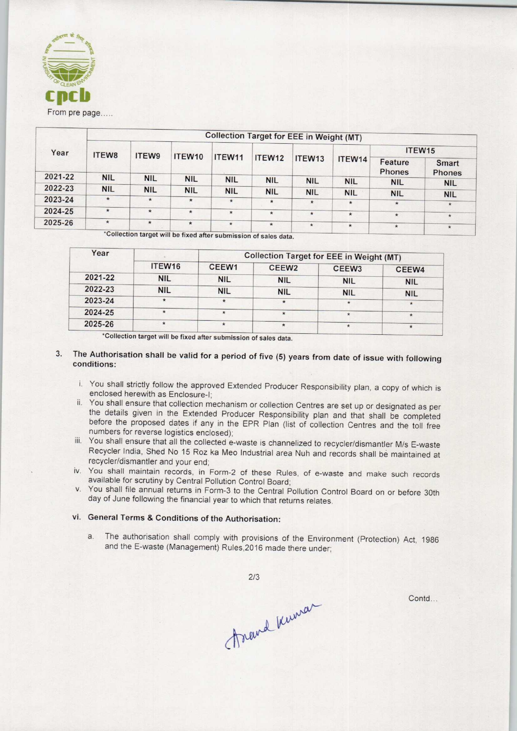

|         |            | <b>Collection Target for EEE in Weight (MT)</b> |            |            |                    |            |                   |                        |            |  |  |  |
|---------|------------|-------------------------------------------------|------------|------------|--------------------|------------|-------------------|------------------------|------------|--|--|--|
| Year    | ITEW8      | ITEW9                                           |            |            |                    |            |                   |                        | ITEW15     |  |  |  |
|         |            | ITEW10                                          | ITEW11     | ITEW12     | ITEW <sub>13</sub> | ITEW14     | Feature<br>Phones | Smart<br><b>Phones</b> |            |  |  |  |
| 2021-22 | <b>NIL</b> | <b>NIL</b>                                      | <b>NIL</b> | <b>NIL</b> | <b>NIL</b>         | <b>NIL</b> | <b>NIL</b>        | <b>NIL</b>             | <b>NIL</b> |  |  |  |
| 2022-23 | <b>NIL</b> | <b>NIL</b>                                      | <b>NIL</b> | <b>NIL</b> | <b>NIL</b>         | <b>NIL</b> | <b>NIL</b>        | <b>NIL</b>             |            |  |  |  |
| 2023-24 | $\star$    | $\star$                                         | $\star$    | $\star$    | $\star$            | $\star$    | $\star$           | $\star$                | <b>NIL</b> |  |  |  |
| 2024-25 | $\star$    | $\star$                                         | $\star$    | $\star$    | $\star$            |            |                   |                        | $\star$    |  |  |  |
|         |            |                                                 |            |            |                    | $\star$    | $\star$           | $\star$                | $\star$    |  |  |  |
| 2025-26 | $\star$    | $\star$                                         | $\star$    | $\star$    | $\star$            | $\star$    | $\star$           | $\star$                | $\star$    |  |  |  |

Collection target will be fixed after submission of sales data.

| Year    |                    | <b>Collection Target for EEE in Weight (MT)</b> |                   |                   |            |  |  |
|---------|--------------------|-------------------------------------------------|-------------------|-------------------|------------|--|--|
|         | ITEW <sub>16</sub> | CEEW1                                           | CEEW <sub>2</sub> | CEEW <sub>3</sub> | CEEW4      |  |  |
| 2021-22 | <b>NIL</b>         | <b>NIL</b>                                      | <b>NIL</b>        | <b>NIL</b>        | <b>NIL</b> |  |  |
| 2022-23 | <b>NIL</b>         | <b>NIL</b>                                      | <b>NIL</b>        | <b>NIL</b>        | <b>NIL</b> |  |  |
| 2023-24 | $\star$            | $\star$                                         | $\star$           | $\star$           | $\star$    |  |  |
| 2024-25 | $\star$            | $\star$                                         | $\star$           | $\star$           | $\star$    |  |  |
| 2025-26 | $\star$            | ÷                                               | $\star$           |                   |            |  |  |

\*Collection target will be fixed after submission of sales data.

#### 3. The Authorisation shall be valid for a period of five (5) years from date of issue with following conditions:

- i. You shall strictly follow the approved Extended Producer Responsibility plan, a copy of which is enclosed herewith as Enclosure-I;
- ii. You shall ensure that collection mechanism or collection Centres are set up or designated as per the details given in the Extended Producer Responsibility plan and that shall be completed before the proposed dates if any in the EPR Plan (list of collection Centres and the toll free numbers for reverse logistics enclosed);
- iii. You shall ensure that all the collected e-waste is channelized to recycler/dismantler M/s E-waste Recycler India, Shed No 15 Roz ka Meo Industrial area Nuh and records shall be maintained at recycler/dismantler and your end;
- iv. You shall maintain records, in Form-2 of these Rules, of e-waste and make such records available for scrutiny by Central Pollution Control Board;
- v. You shall file annual returns in Form-3 to the Central Pollution Control Board on or before 30th day of June following the financial year to which that returns relates.

#### vi. General Terms & Conditions of the Authorisation:

a. The authorisation shall comply with provisions of the Environment (Protection) Act, 1986 and the E-waste (Management) Rules,2016 made there under;

2/3

Contd...

Arand Kuman